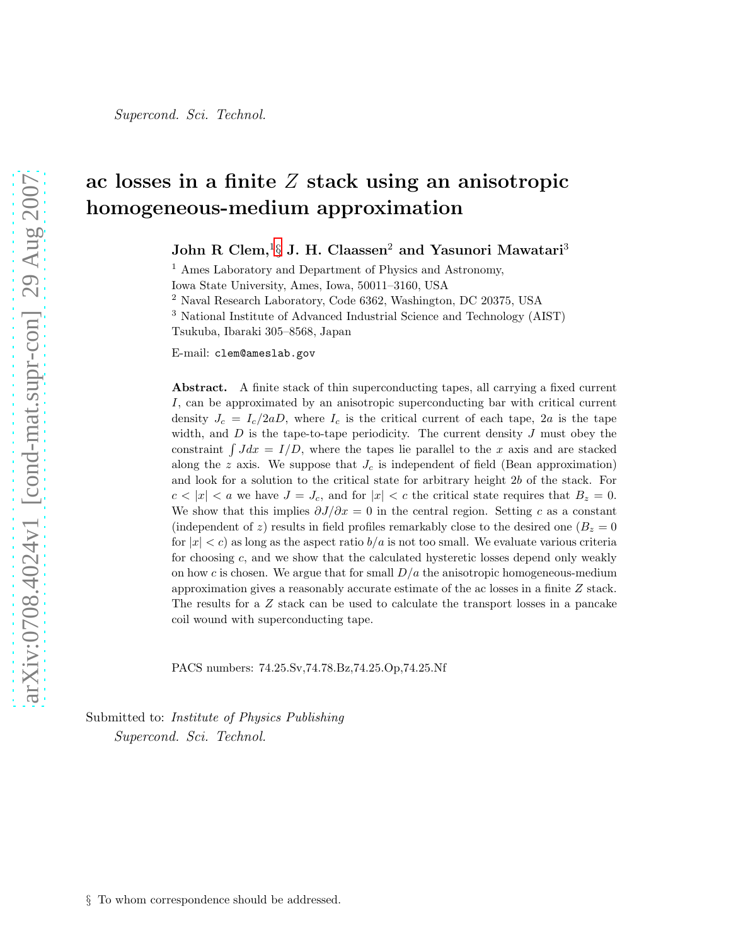# ac losses in a finite  $Z$  stack using an anisotropic homogeneous-medium approximation

John R Clem, ${}^{16}_{9}$  J. H. Claassen ${}^{2}$  and Yasunori Mawatari ${}^{3}$ 

<sup>1</sup> Ames Laboratory and Department of Physics and Astronomy,

Iowa State University, Ames, Iowa, 50011–3160, USA

<sup>2</sup> Naval Research Laboratory, Code 6362, Washington, DC 20375, USA

<sup>3</sup> National Institute of Advanced Industrial Science and Technology (AIST)

Tsukuba, Ibaraki 305–8568, Japan

E-mail: clem@ameslab.gov

Abstract. A finite stack of thin superconducting tapes, all carrying a fixed current I, can be approximated by an anisotropic superconducting bar with critical current density  $J_c = I_c/2aD$ , where  $I_c$  is the critical current of each tape, 2a is the tape width, and  $D$  is the tape-to-tape periodicity. The current density  $J$  must obey the constraint  $\int Jdx = I/D$ , where the tapes lie parallel to the x axis and are stacked along the z axis. We suppose that  $J_c$  is independent of field (Bean approximation) and look for a solution to the critical state for arbitrary height 2b of the stack. For  $c < |x| < a$  we have  $J = J_c$ , and for  $|x| < c$  the critical state requires that  $B_z = 0$ . We show that this implies  $\partial J/\partial x = 0$  in the central region. Setting c as a constant (independent of z) results in field profiles remarkably close to the desired one  $(B_z = 0$ for  $|x| < c$ ) as long as the aspect ratio  $b/a$  is not too small. We evaluate various criteria for choosing c, and we show that the calculated hysteretic losses depend only weakly on how c is chosen. We argue that for small  $D/a$  the anisotropic homogeneous-medium approximation gives a reasonably accurate estimate of the ac losses in a finite Z stack. The results for a Z stack can be used to calculate the transport losses in a pancake coil wound with superconducting tape.

PACS numbers: 74.25.Sv,74.78.Bz,74.25.Op,74.25.Nf

<span id="page-0-0"></span>Submitted to: *Institute of Physics Publishing* Supercond. Sci. Technol.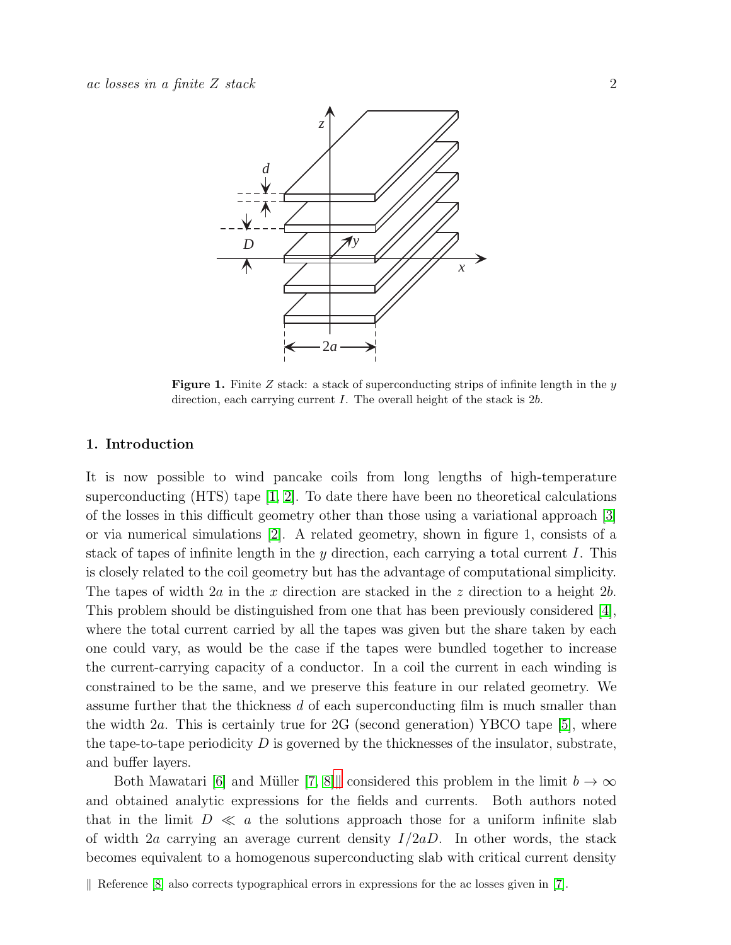

**Figure 1.** Finite Z stack: a stack of superconducting strips of infinite length in the  $y$ direction, each carrying current  $I$ . The overall height of the stack is  $2b$ .

### 1. Introduction

It is now possible to wind pancake coils from long lengths of high-temperature superconducting  $(HTS)$  tape  $[1, 2]$  $[1, 2]$ . To date there have been no theoretical calculations of the losses in this difficult geometry other than those using a variational approach [\[3\]](#page-20-2) or via numerical simulations [\[2\]](#page-20-1). A related geometry, shown in figure 1, consists of a stack of tapes of infinite length in the y direction, each carrying a total current I. This is closely related to the coil geometry but has the advantage of computational simplicity. The tapes of width  $2a$  in the x direction are stacked in the z direction to a height  $2b$ . This problem should be distinguished from one that has been previously considered [\[4\]](#page-20-3), where the total current carried by all the tapes was given but the share taken by each one could vary, as would be the case if the tapes were bundled together to increase the current-carrying capacity of a conductor. In a coil the current in each winding is constrained to be the same, and we preserve this feature in our related geometry. We assume further that the thickness d of each superconducting film is much smaller than the width 2a. This is certainly true for 2G (second generation) YBCO tape [\[5\]](#page-20-4), where the tape-to-tape periodicity  $D$  is governed by the thicknesses of the insulator, substrate, and buffer layers.

Both Mawatari [\[6\]](#page-20-5) and Müller [\[7,](#page-20-6) [8\]](#page-20-7), considered this problem in the limit  $b \to \infty$ and obtained analytic expressions for the fields and currents. Both authors noted that in the limit  $D \ll a$  the solutions approach those for a uniform infinite slab of width 2a carrying an average current density  $I/2aD$ . In other words, the stack becomes equivalent to a homogenous superconducting slab with critical current density

<span id="page-1-0"></span>Reference  $[8]$  also corrects typographical errors in expressions for the ac losses given in [\[7\]](#page-20-6).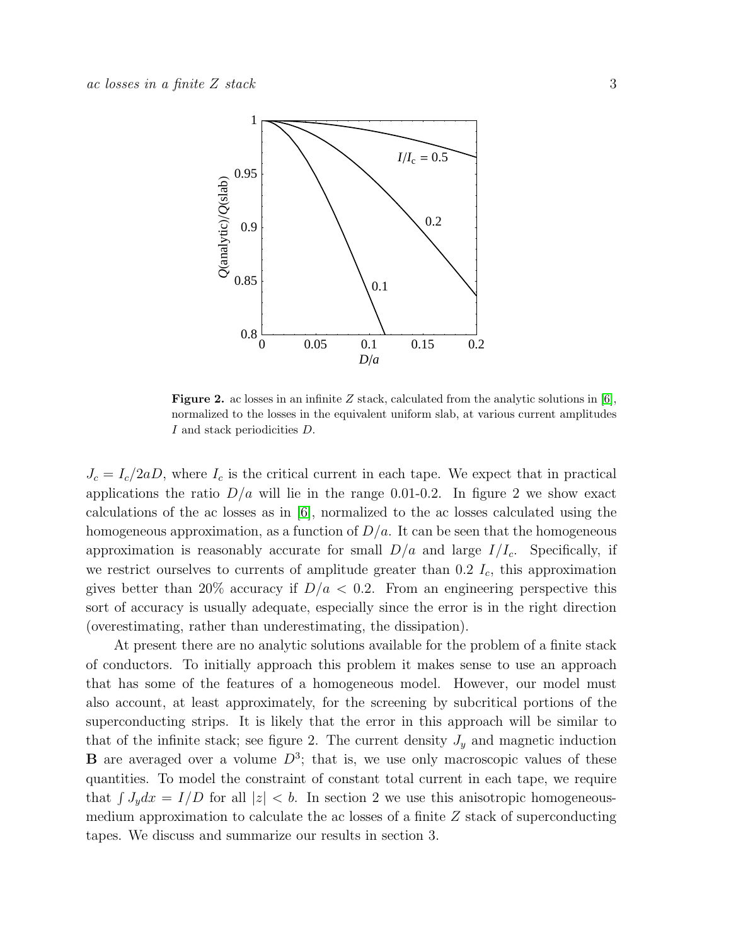

**Figure 2.** ac losses in an infinite Z stack, calculated from the analytic solutions in [\[6\]](#page-20-5), normalized to the losses in the equivalent uniform slab, at various current amplitudes I and stack periodicities D.

 $J_c = I_c/2aD$ , where  $I_c$  is the critical current in each tape. We expect that in practical applications the ratio  $D/a$  will lie in the range 0.01-0.2. In figure 2 we show exact calculations of the ac losses as in [\[6\]](#page-20-5), normalized to the ac losses calculated using the homogeneous approximation, as a function of  $D/a$ . It can be seen that the homogeneous approximation is reasonably accurate for small  $D/a$  and large  $I/I_c$ . Specifically, if we restrict ourselves to currents of amplitude greater than  $0.2 I_c$ , this approximation gives better than 20% accuracy if  $D/a < 0.2$ . From an engineering perspective this sort of accuracy is usually adequate, especially since the error is in the right direction (overestimating, rather than underestimating, the dissipation).

At present there are no analytic solutions available for the problem of a finite stack of conductors. To initially approach this problem it makes sense to use an approach that has some of the features of a homogeneous model. However, our model must also account, at least approximately, for the screening by subcritical portions of the superconducting strips. It is likely that the error in this approach will be similar to that of the infinite stack; see figure 2. The current density  $J_y$  and magnetic induction **B** are averaged over a volume  $D^3$ ; that is, we use only macroscopic values of these quantities. To model the constraint of constant total current in each tape, we require that  $\int J_y dx = I/D$  for all  $|z| < b$ . In section 2 we use this anisotropic homogeneousmedium approximation to calculate the ac losses of a finite Z stack of superconducting tapes. We discuss and summarize our results in section 3.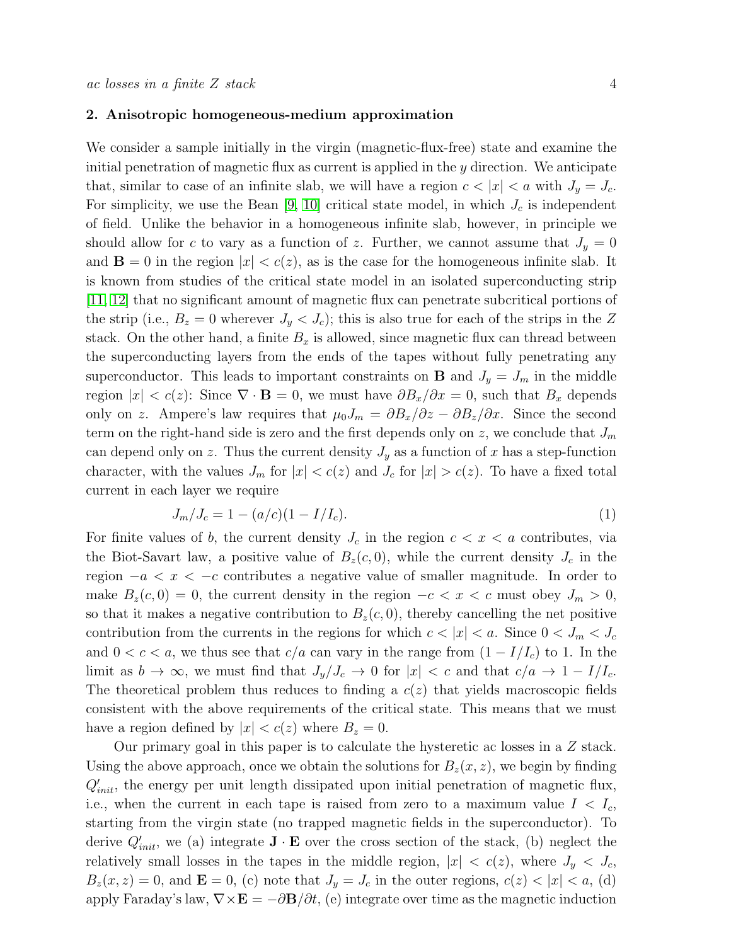#### 2. Anisotropic homogeneous-medium approximation

We consider a sample initially in the virgin (magnetic-flux-free) state and examine the initial penetration of magnetic flux as current is applied in the y direction. We anticipate that, similar to case of an infinite slab, we will have a region  $c < |x| < a$  with  $J_y = J_c$ . For simplicity, we use the Bean [\[9,](#page-20-8) [10\]](#page-20-9) critical state model, in which  $J_c$  is independent of field. Unlike the behavior in a homogeneous infinite slab, however, in principle we should allow for c to vary as a function of z. Further, we cannot assume that  $J_y = 0$ and  $\mathbf{B} = 0$  in the region  $|x| < c(z)$ , as is the case for the homogeneous infinite slab. It is known from studies of the critical state model in an isolated superconducting strip [\[11,](#page-20-10) [12\]](#page-20-11) that no significant amount of magnetic flux can penetrate subcritical portions of the strip (i.e.,  $B_z = 0$  wherever  $J_y < J_c$ ); this is also true for each of the strips in the Z stack. On the other hand, a finite  $B_x$  is allowed, since magnetic flux can thread between the superconducting layers from the ends of the tapes without fully penetrating any superconductor. This leads to important constraints on **B** and  $J_y = J_m$  in the middle region  $|x| < c(z)$ : Since  $\nabla \cdot \mathbf{B} = 0$ , we must have  $\partial B_x/\partial x = 0$ , such that  $B_x$  depends only on z. Ampere's law requires that  $\mu_0 J_m = \partial B_x/\partial z - \partial B_z/\partial x$ . Since the second term on the right-hand side is zero and the first depends only on z, we conclude that  $J_m$ can depend only on z. Thus the current density  $J_y$  as a function of x has a step-function character, with the values  $J_m$  for  $|x| < c(z)$  and  $J_c$  for  $|x| > c(z)$ . To have a fixed total current in each layer we require

<span id="page-3-0"></span>
$$
J_m/J_c = 1 - (a/c)(1 - I/I_c). \tag{1}
$$

For finite values of b, the current density  $J_c$  in the region  $c < x < a$  contributes, via the Biot-Savart law, a positive value of  $B_z(c, 0)$ , while the current density  $J_c$  in the region  $-a < x < -c$  contributes a negative value of smaller magnitude. In order to make  $B_z(c, 0) = 0$ , the current density in the region  $-c < x < c$  must obey  $J_m > 0$ , so that it makes a negative contribution to  $B_z(c, 0)$ , thereby cancelling the net positive contribution from the currents in the regions for which  $c < |x| < a$ . Since  $0 < J_m < J_c$ and  $0 < c < a$ , we thus see that  $c/a$  can vary in the range from  $(1 - I/I_c)$  to 1. In the limit as  $b \to \infty$ , we must find that  $J_y/J_c \to 0$  for  $|x| < c$  and that  $c/a \to 1 - I/I_c$ . The theoretical problem thus reduces to finding a  $c(z)$  that yields macroscopic fields consistent with the above requirements of the critical state. This means that we must have a region defined by  $|x| < c(z)$  where  $B_z = 0$ .

Our primary goal in this paper is to calculate the hysteretic ac losses in a Z stack. Using the above approach, once we obtain the solutions for  $B_z(x, z)$ , we begin by finding  $Q'_{init}$ , the energy per unit length dissipated upon initial penetration of magnetic flux, i.e., when the current in each tape is raised from zero to a maximum value  $I < I_c$ , starting from the virgin state (no trapped magnetic fields in the superconductor). To derive  $Q'_{init}$ , we (a) integrate  $\mathbf{J} \cdot \mathbf{E}$  over the cross section of the stack, (b) neglect the relatively small losses in the tapes in the middle region,  $|x| < c(z)$ , where  $J_y < J_c$ ,  $B_z(x, z) = 0$ , and  $\mathbf{E} = 0$ , (c) note that  $J_y = J_c$  in the outer regions,  $c(z) < |x| < a$ , (d) apply Faraday's law,  $\nabla \times \mathbf{E} = -\partial \mathbf{B}/\partial t$ , (e) integrate over time as the magnetic induction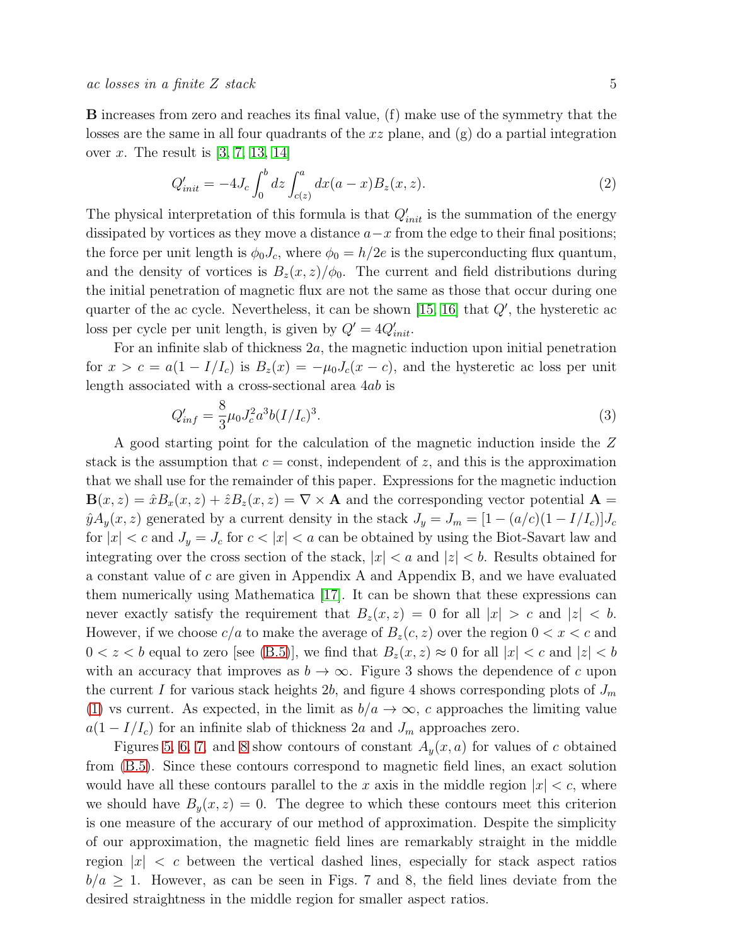$ac$  losses in a finite Z stack  $5$ 

B increases from zero and reaches its final value, (f) make use of the symmetry that the losses are the same in all four quadrants of the  $xz$  plane, and  $(g)$  do a partial integration over x. The result is  $[3, 7, 13, 14]$  $[3, 7, 13, 14]$  $[3, 7, 13, 14]$  $[3, 7, 13, 14]$ 

<span id="page-4-0"></span>
$$
Q'_{init} = -4J_c \int_0^b dz \int_{c(z)}^a dx (a-x) B_z(x, z). \tag{2}
$$

The physical interpretation of this formula is that  $Q'_{init}$  is the summation of the energy dissipated by vortices as they move a distance  $a-x$  from the edge to their final positions; the force per unit length is  $\phi_0 J_c$ , where  $\phi_0 = h/2e$  is the superconducting flux quantum, and the density of vortices is  $B_z(x, z)/\phi_0$ . The current and field distributions during the initial penetration of magnetic flux are not the same as those that occur during one quarter of the ac cycle. Nevertheless, it can be shown  $[15, 16]$  $[15, 16]$  that  $Q'$ , the hysteretic ac loss per cycle per unit length, is given by  $Q' = 4Q'_{init}$ .

For an infinite slab of thickness 2a, the magnetic induction upon initial penetration for  $x > c = a(1 - I/I_c)$  is  $B_z(x) = -\mu_0 J_c(x - c)$ , and the hysteretic ac loss per unit length associated with a cross-sectional area 4ab is

<span id="page-4-1"></span>
$$
Q'_{inf} = \frac{8}{3}\mu_0 J_c^2 a^3 b (I/I_c)^3. \tag{3}
$$

A good starting point for the calculation of the magnetic induction inside the Z stack is the assumption that  $c = \text{const}$ , independent of z, and this is the approximation that we shall use for the remainder of this paper. Expressions for the magnetic induction  $\mathbf{B}(x, z) = \hat{x}B_x(x, z) + \hat{z}B_z(x, z) = \nabla \times \mathbf{A}$  and the corresponding vector potential  $\mathbf{A} =$  $\hat{y}A_y(x, z)$  generated by a current density in the stack  $J_y = J_m = [1 - (a/c)(1 - I/I_c)]J_c$ for  $|x| < c$  and  $J_y = J_c$  for  $c < |x| < a$  can be obtained by using the Biot-Savart law and integrating over the cross section of the stack,  $|x| < a$  and  $|z| < b$ . Results obtained for a constant value of c are given in Appendix A and Appendix B, and we have evaluated them numerically using Mathematica [\[17\]](#page-20-16). It can be shown that these expressions can never exactly satisfy the requirement that  $B_z(x, z) = 0$  for all  $|x| > c$  and  $|z| < b$ . However, if we choose  $c/a$  to make the average of  $B_z(c, z)$  over the region  $0 < x < c$  and  $0 < z < b$  equal to zero [see [\(B.5\)](#page-16-0)], we find that  $B_z(x, z) \approx 0$  for all  $|x| < c$  and  $|z| < b$ with an accuracy that improves as  $b \to \infty$ . Figure 3 shows the dependence of c upon the current I for various stack heights 2b, and figure 4 shows corresponding plots of  $J_m$ [\(1\)](#page-3-0) vs current. As expected, in the limit as  $b/a \rightarrow \infty$ , c approaches the limiting value  $a(1 - I/I_c)$  for an infinite slab of thickness 2a and  $J_m$  approaches zero.

Figures [5,](#page-6-0) [6,](#page-7-0) [7,](#page-7-1) and [8](#page-7-2) show contours of constant  $A_y(x, a)$  for values of c obtained from [\(B.5\)](#page-16-0). Since these contours correspond to magnetic field lines, an exact solution would have all these contours parallel to the x axis in the middle region  $|x| < c$ , where we should have  $B_y(x, z) = 0$ . The degree to which these contours meet this criterion is one measure of the accurary of our method of approximation. Despite the simplicity of our approximation, the magnetic field lines are remarkably straight in the middle region  $|x| < c$  between the vertical dashed lines, especially for stack aspect ratios  $b/a \geq 1$ . However, as can be seen in Figs. 7 and 8, the field lines deviate from the desired straightness in the middle region for smaller aspect ratios.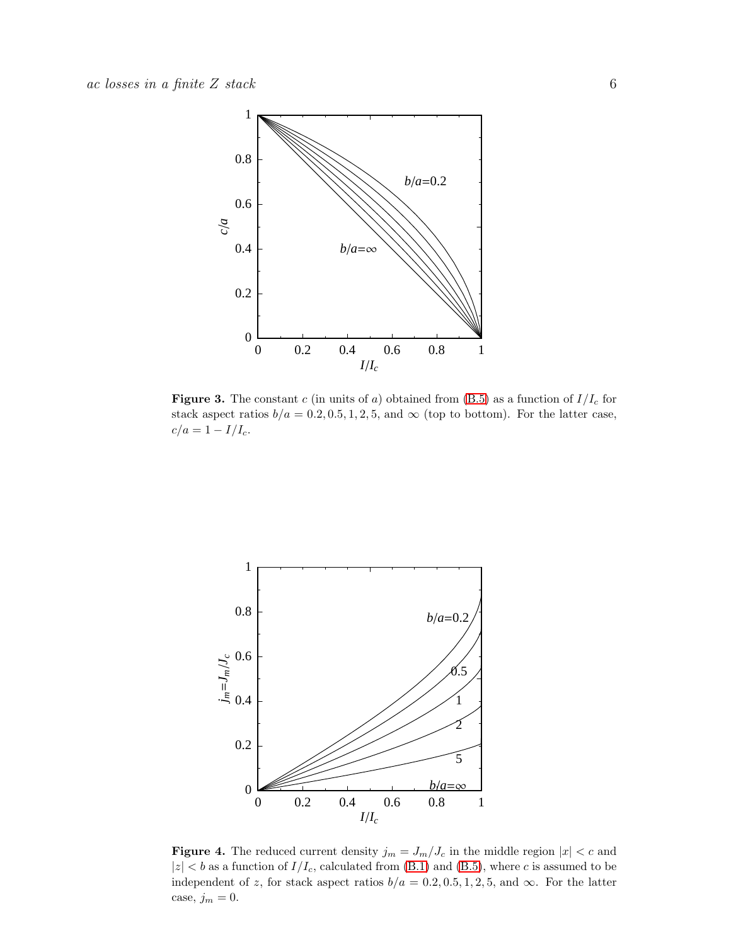

<span id="page-5-0"></span>**Figure 3.** The constant c (in units of a) obtained from  $(B.5)$  as a function of  $I/I_c$  for stack aspect ratios  $b/a = 0.2, 0.5, 1, 2, 5$ , and  $\infty$  (top to bottom). For the latter case,  $\label{eq:1} c/a = 1 - I/I_c.$ 



<span id="page-5-1"></span>**Figure 4.** The reduced current density  $j_m = J_m/J_c$  in the middle region  $|x| < c$  and  $|z| < b$  as a function of  $I/I_c$ , calculated from [\(B.1\)](#page-16-1) and [\(B.5\)](#page-16-0), where c is assumed to be independent of z, for stack aspect ratios  $b/a = 0.2, 0.5, 1, 2, 5$ , and  $\infty$ . For the latter case,  $j_m = 0$ .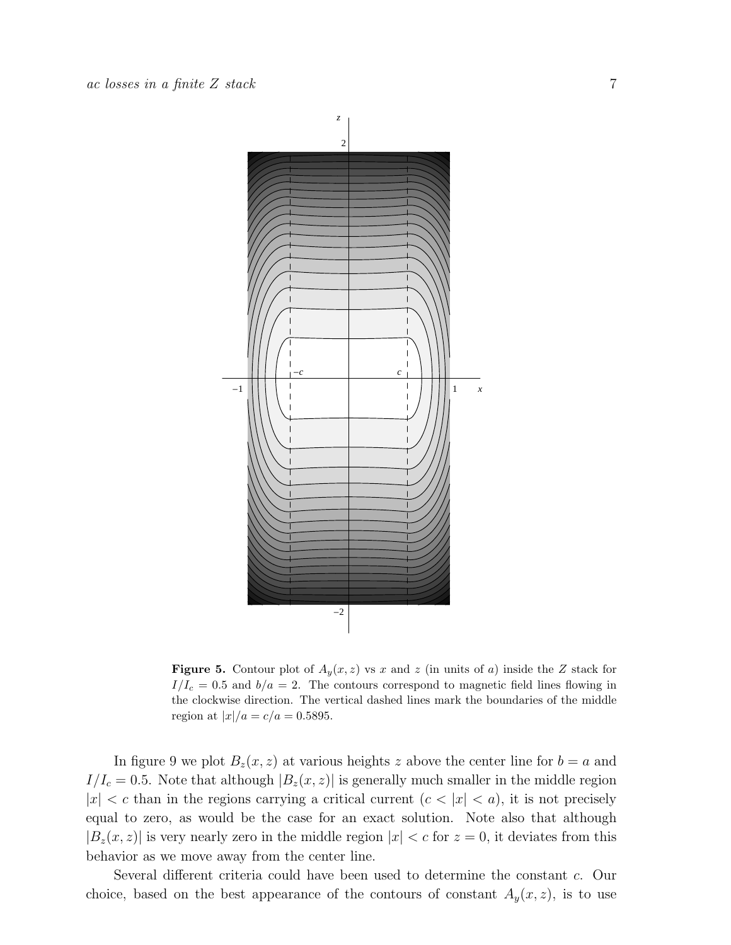



<span id="page-6-0"></span>**Figure 5.** Contour plot of  $A_y(x, z)$  vs x and z (in units of a) inside the Z stack for  $I/I_c = 0.5$  and  $b/a = 2$ . The contours correspond to magnetic field lines flowing in the clockwise direction. The vertical dashed lines mark the boundaries of the middle region at  $|x|/a = c/a = 0.5895$ .

In figure 9 we plot  $B_z(x, z)$  at various heights z above the center line for  $b = a$  and  $I/I_c = 0.5$ . Note that although  $|B_z(x, z)|$  is generally much smaller in the middle region  $|x| < c$  than in the regions carrying a critical current  $(c < |x| < a)$ , it is not precisely equal to zero, as would be the case for an exact solution. Note also that although  $|B_z(x, z)|$  is very nearly zero in the middle region  $|x| < c$  for  $z = 0$ , it deviates from this behavior as we move away from the center line.

Several different criteria could have been used to determine the constant c. Our choice, based on the best appearance of the contours of constant  $A_y(x, z)$ , is to use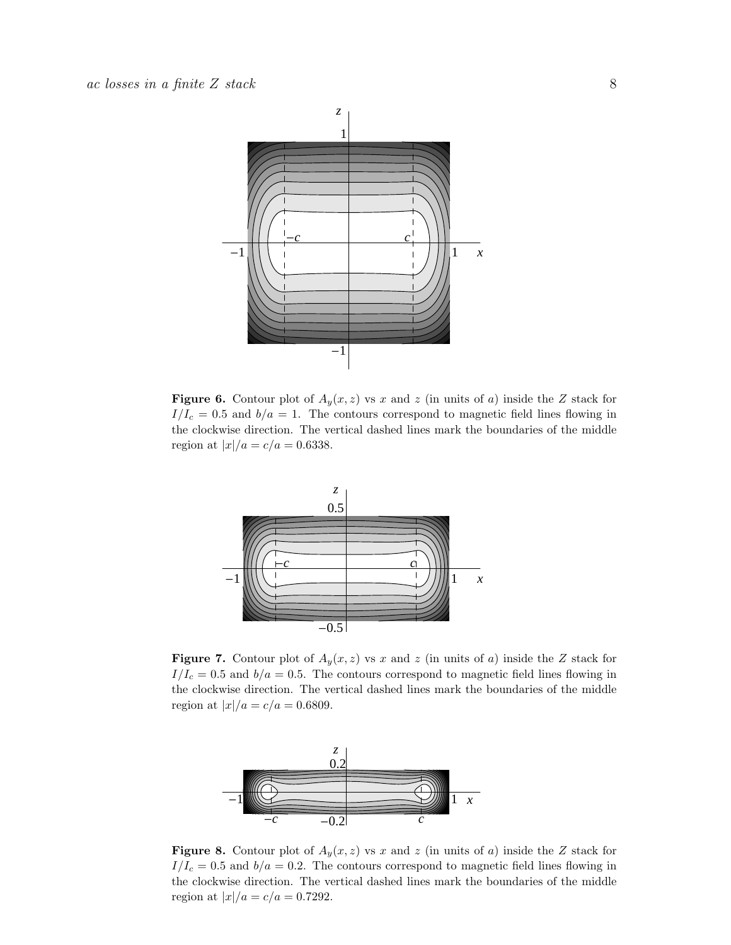

<span id="page-7-0"></span>**Figure 6.** Contour plot of  $A_y(x, z)$  vs x and z (in units of a) inside the Z stack for  $I/I_c = 0.5$  and  $b/a = 1$ . The contours correspond to magnetic field lines flowing in the clockwise direction. The vertical dashed lines mark the boundaries of the middle region at  $|x|/a = c/a = 0.6338$ .



<span id="page-7-1"></span>**Figure 7.** Contour plot of  $A_y(x, z)$  vs x and z (in units of a) inside the Z stack for  $I/I_c = 0.5$  and  $b/a = 0.5$ . The contours correspond to magnetic field lines flowing in the clockwise direction. The vertical dashed lines mark the boundaries of the middle region at  $|x|/a = c/a = 0.6809$ .



<span id="page-7-2"></span>**Figure 8.** Contour plot of  $A_y(x, z)$  vs x and z (in units of a) inside the Z stack for  $I/I_c = 0.5$  and  $b/a = 0.2$ . The contours correspond to magnetic field lines flowing in the clockwise direction. The vertical dashed lines mark the boundaries of the middle region at  $|x|/a = c/a = 0.7292$ .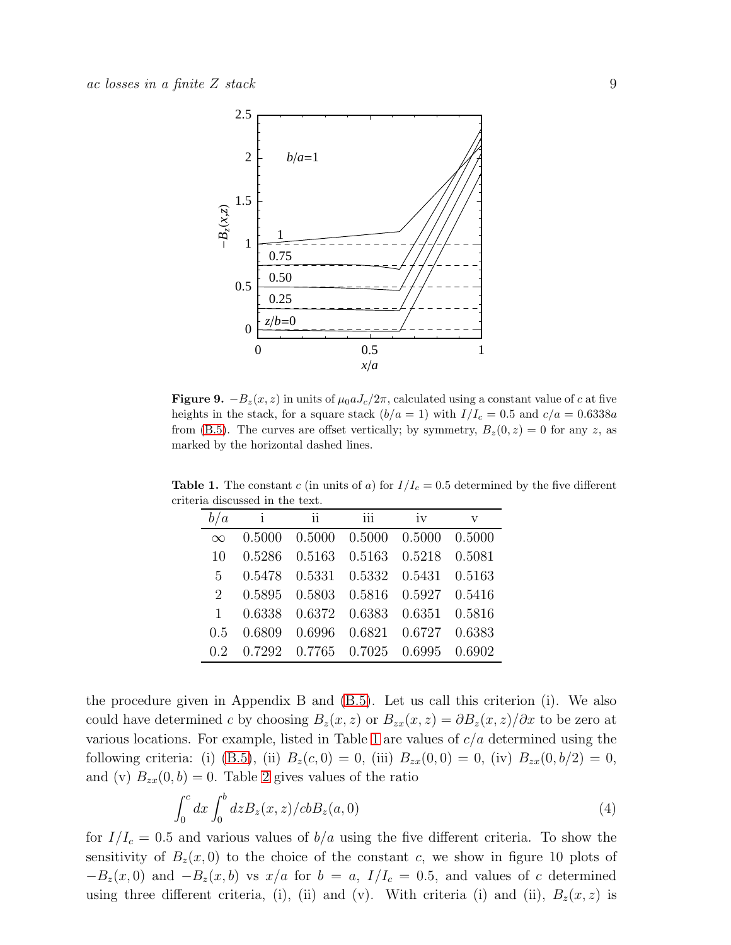

Figure 9.  $-B_z(x, z)$  in units of  $\mu_0 a J_c/2\pi$ , calculated using a constant value of c at five heights in the stack, for a square stack  $(b/a = 1)$  with  $I/I_c = 0.5$  and  $c/a = 0.6338a$ from [\(B.5\)](#page-16-0). The curves are offset vertically; by symmetry,  $B_z(0, z) = 0$  for any z, as marked by the horizontal dashed lines.

<span id="page-8-0"></span>

|        | ii     | iii          | iv               | $\overline{\mathbf{V}}$ |
|--------|--------|--------------|------------------|-------------------------|
| 0.5000 | 0.5000 | 0.5000       | 0.5000           | 0.5000                  |
| 0.5286 |        | 0.5163       | 0.5218           | 0.5081                  |
| 0.5478 | 0.5331 | 0.5332       | 0.5431           | 0.5163                  |
| 0.5895 |        |              | 0.5927           | 0.5416                  |
| 0.6338 | 0.6372 | 0.6383       | 0.6351           | 0.5816                  |
| 0.6809 | 0.6996 | 0.6821       | 0.6727           | 0.6383                  |
| 0.7292 |        |              | 0.6995           | 0.6902                  |
|        |        | $\mathbf{i}$ | 0.5163<br>0.7765 | 0.5803 0.5816<br>0.7025 |

**Table 1.** The constant c (in units of a) for  $I/I_c = 0.5$  determined by the five different criteria discussed in the text.

the procedure given in Appendix B and [\(B.5\)](#page-16-0). Let us call this criterion (i). We also could have determined c by choosing  $B_z(x, z)$  or  $B_{zx}(x, z) = \partial B_z(x, z)/\partial x$  to be zero at various locations. For example, listed in Table [1](#page-8-0) are values of  $c/a$  determined using the following criteria: (i) [\(B.5\)](#page-16-0), (ii)  $B_z(c, 0) = 0$ , (iii)  $B_{zx}(0, 0) = 0$ , (iv)  $B_{zx}(0, b/2) = 0$ , and (v)  $B_{zx}(0, b) = 0$ . Table [2](#page-9-0) gives values of the ratio

$$
\int_0^c dx \int_0^b dz B_z(x, z) / cb B_z(a, 0)
$$
\n(4)

for  $I/I_c = 0.5$  and various values of  $b/a$  using the five different criteria. To show the sensitivity of  $B_z(x,0)$  to the choice of the constant c, we show in figure 10 plots of  $-B_z(x, 0)$  and  $-B_z(x, b)$  vs  $x/a$  for  $b = a$ ,  $I/I_c = 0.5$ , and values of c determined using three different criteria, (i), (ii) and (v). With criteria (i) and (ii),  $B_z(x, z)$  is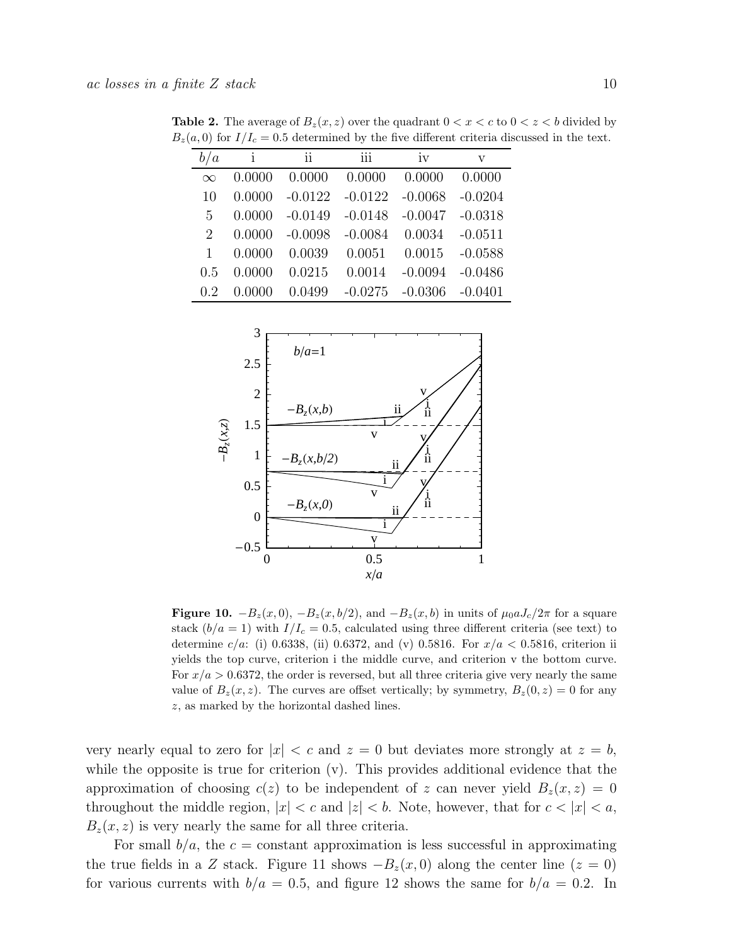<span id="page-9-0"></span>

| b/a      | i         | ii        | iii       | iv        | v         |
|----------|-----------|-----------|-----------|-----------|-----------|
| $\infty$ | 0.0000    | 0.0000    | 0.0000    | 0.0000    | 0.0000    |
| 10       | 0.0000    | $-0.0122$ | $-0.0122$ | $-0.0068$ | $-0.0204$ |
| 5        | 0.0000    | $-0.0149$ | $-0.0148$ | $-0.0047$ | $-0.0318$ |
| 2        | 0.0000    | $-0.0098$ | $-0.0084$ | 0.0034    | $-0.0511$ |
| 1        | 0.0000    | 0.0039    | 0.0051    | 0.0015    | $-0.0588$ |
| 0.5      | 0.0000    | 0.0215    | 0.0014    | $-0.0094$ | $-0.0486$ |
| 0.2      | (1)(1)(1) | 0.0499    | $-0.0275$ | $-0.0306$ | $-0.0401$ |

**Table 2.** The average of  $B_z(x, z)$  over the quadrant  $0 < x < c$  to  $0 < z < b$  divided by  $B_z(a, 0)$  for  $I/I_c = 0.5$  determined by the five different criteria discussed in the text.



Figure 10.  $-B_z(x, 0)$ ,  $-B_z(x, b/2)$ , and  $-B_z(x, b)$  in units of  $\mu_0 a J_c/2\pi$  for a square stack  $(b/a = 1)$  with  $I/I_c = 0.5$ , calculated using three different criteria (see text) to determine  $c/a$ : (i) 0.6338, (ii) 0.6372, and (v) 0.5816. For  $x/a < 0.5816$ , criterion ii yields the top curve, criterion i the middle curve, and criterion v the bottom curve. For  $x/a > 0.6372$ , the order is reversed, but all three criteria give very nearly the same value of  $B_z(x, z)$ . The curves are offset vertically; by symmetry,  $B_z(0, z) = 0$  for any z, as marked by the horizontal dashed lines.

very nearly equal to zero for  $|x| < c$  and  $z = 0$  but deviates more strongly at  $z = b$ , while the opposite is true for criterion  $(v)$ . This provides additional evidence that the approximation of choosing  $c(z)$  to be independent of z can never yield  $B_z(x, z) = 0$ throughout the middle region,  $|x| < c$  and  $|z| < b$ . Note, however, that for  $c < |x| < a$ ,  $B_z(x, z)$  is very nearly the same for all three criteria.

For small  $b/a$ , the  $c = constant$  approximation is less successful in approximating the true fields in a Z stack. Figure 11 shows  $-B_z(x, 0)$  along the center line  $(z = 0)$ for various currents with  $b/a = 0.5$ , and figure 12 shows the same for  $b/a = 0.2$ . In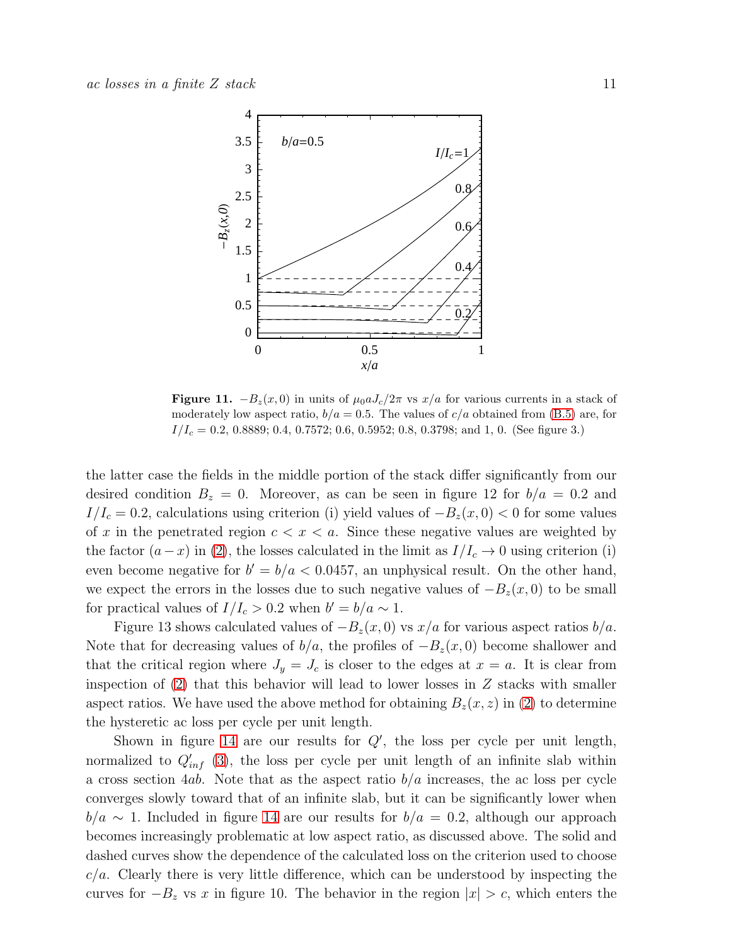

Figure 11.  $-B_z(x, 0)$  in units of  $\mu_0 a J_c/2\pi$  vs  $x/a$  for various currents in a stack of moderately low aspect ratio,  $b/a = 0.5$ . The values of  $c/a$  obtained from [\(B.5\)](#page-16-0) are, for  $I/I_c = 0.2, 0.8889; 0.4, 0.7572; 0.6, 0.5952; 0.8, 0.3798;$  and 1, 0. (See figure 3.)

the latter case the fields in the middle portion of the stack differ significantly from our desired condition  $B_z = 0$ . Moreover, as can be seen in figure 12 for  $b/a = 0.2$  and  $I/I_c = 0.2$ , calculations using criterion (i) yield values of  $-B_z(x, 0) < 0$  for some values of x in the penetrated region  $c < x < a$ . Since these negative values are weighted by the factor  $(a-x)$  in [\(2\)](#page-4-0), the losses calculated in the limit as  $I/I_c \rightarrow 0$  using criterion (i) even become negative for  $b' = b/a < 0.0457$ , an unphysical result. On the other hand, we expect the errors in the losses due to such negative values of  $-B_z(x, 0)$  to be small for practical values of  $I/I_c > 0.2$  when  $b' = b/a \sim 1$ .

Figure 13 shows calculated values of  $-B_z(x, 0)$  vs  $x/a$  for various aspect ratios  $b/a$ . Note that for decreasing values of  $b/a$ , the profiles of  $-B<sub>z</sub>(x, 0)$  become shallower and that the critical region where  $J_y = J_c$  is closer to the edges at  $x = a$ . It is clear from inspection of  $(2)$  that this behavior will lead to lower losses in Z stacks with smaller aspect ratios. We have used the above method for obtaining  $B_z(x, z)$  in [\(2\)](#page-4-0) to determine the hysteretic ac loss per cycle per unit length.

Shown in figure [14](#page-12-0) are our results for  $Q'$ , the loss per cycle per unit length, normalized to  $Q'_{inf}$  [\(3\)](#page-4-1), the loss per cycle per unit length of an infinite slab within a cross section 4ab. Note that as the aspect ratio  $b/a$  increases, the ac loss per cycle converges slowly toward that of an infinite slab, but it can be significantly lower when  $b/a \sim 1$ . Included in figure [14](#page-12-0) are our results for  $b/a = 0.2$ , although our approach becomes increasingly problematic at low aspect ratio, as discussed above. The solid and dashed curves show the dependence of the calculated loss on the criterion used to choose  $c/a$ . Clearly there is very little difference, which can be understood by inspecting the curves for  $-B_z$  vs x in figure 10. The behavior in the region  $|x| > c$ , which enters the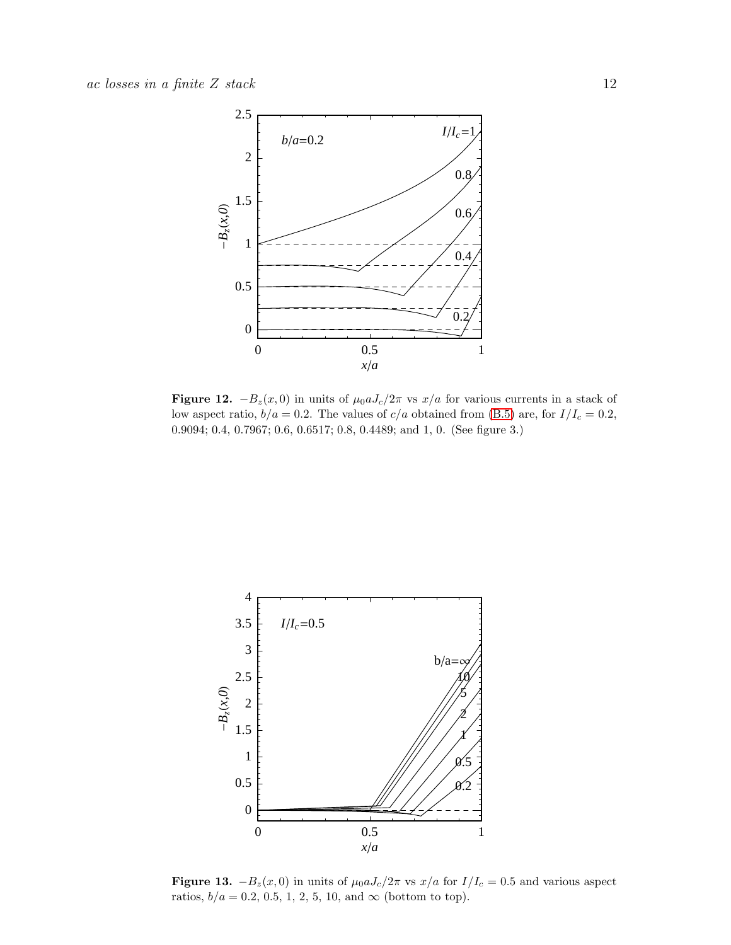

Figure 12.  $-B_z(x, 0)$  in units of  $\mu_0 a J_c/2\pi$  vs  $x/a$  for various currents in a stack of low aspect ratio,  $b/a = 0.2$ . The values of  $c/a$  obtained from [\(B.5\)](#page-16-0) are, for  $I/I_c = 0.2$ , 0.9094; 0.4, 0.7967; 0.6, 0.6517; 0.8, 0.4489; and 1, 0. (See figure 3.)



Figure 13.  $-B_z(x, 0)$  in units of  $\mu_0 a J_c/2\pi$  vs  $x/a$  for  $I/I_c = 0.5$  and various aspect ratios,  $b/a=0.2,\,0.5,\,1,\,2,\,5,\,10,$  and  $\infty$  (bottom to top).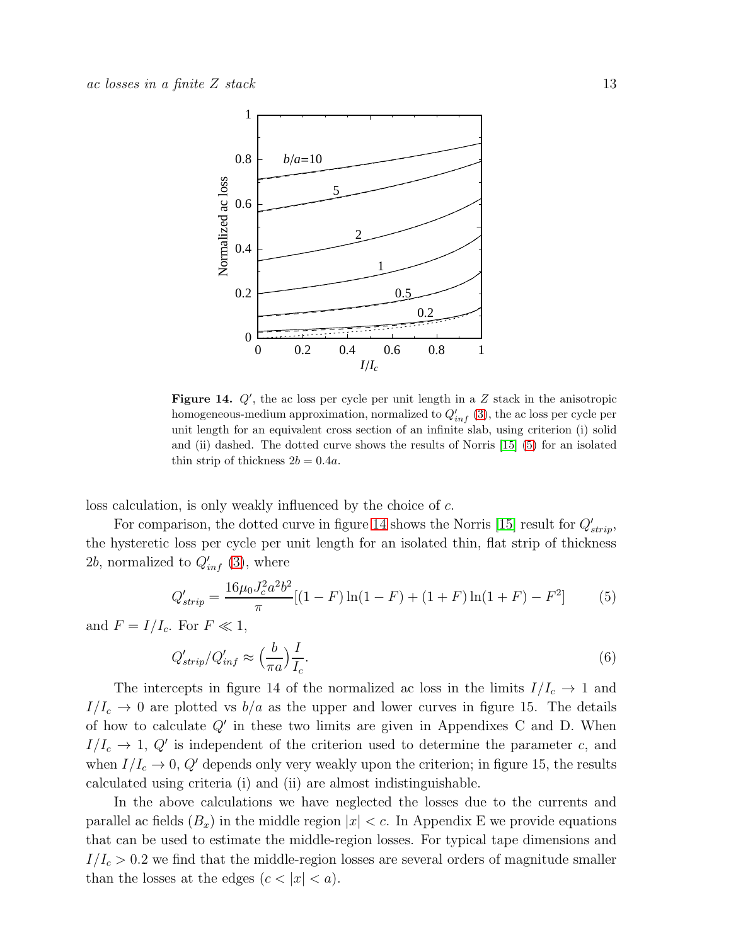

<span id="page-12-0"></span>Figure 14.  $Q'$ , the ac loss per cycle per unit length in a  $Z$  stack in the anisotropic homogeneous-medium approximation, normalized to  $Q'_{inf}$  [\(3\)](#page-4-1), the ac loss per cycle per unit length for an equivalent cross section of an infinite slab, using criterion (i) solid and (ii) dashed. The dotted curve shows the results of Norris [\[15\]](#page-20-14) [\(5\)](#page-12-1) for an isolated thin strip of thickness  $2b = 0.4a$ .

loss calculation, is only weakly influenced by the choice of c.

For comparison, the dotted curve in figure [14](#page-12-0) shows the Norris [\[15\]](#page-20-14) result for  $Q'_{strip}$ , the hysteretic loss per cycle per unit length for an isolated thin, flat strip of thickness 2b, normalized to  $Q'_{inf}$  [\(3\)](#page-4-1), where

<span id="page-12-1"></span>
$$
Q'_{strip} = \frac{16\mu_0 J_c^2 a^2 b^2}{\pi} [(1 - F) \ln(1 - F) + (1 + F) \ln(1 + F) - F^2]
$$
(5)

and  $F = I/I_c$ . For  $F \ll 1$ ,

$$
Q'_{strip}/Q'_{inf} \approx \left(\frac{b}{\pi a}\right) \frac{I}{I_c}.\tag{6}
$$

The intercepts in figure 14 of the normalized ac loss in the limits  $I/I_c \rightarrow 1$  and  $I/I_c \rightarrow 0$  are plotted vs  $b/a$  as the upper and lower curves in figure 15. The details of how to calculate  $Q'$  in these two limits are given in Appendixes C and D. When  $I/I_c \rightarrow 1, Q'$  is independent of the criterion used to determine the parameter c, and when  $I/I_c \rightarrow 0$ , Q' depends only very weakly upon the criterion; in figure 15, the results calculated using criteria (i) and (ii) are almost indistinguishable.

In the above calculations we have neglected the losses due to the currents and parallel ac fields  $(B_x)$  in the middle region  $|x| < c$ . In Appendix E we provide equations that can be used to estimate the middle-region losses. For typical tape dimensions and  $I/I_c > 0.2$  we find that the middle-region losses are several orders of magnitude smaller than the losses at the edges  $(c < |x| < a)$ .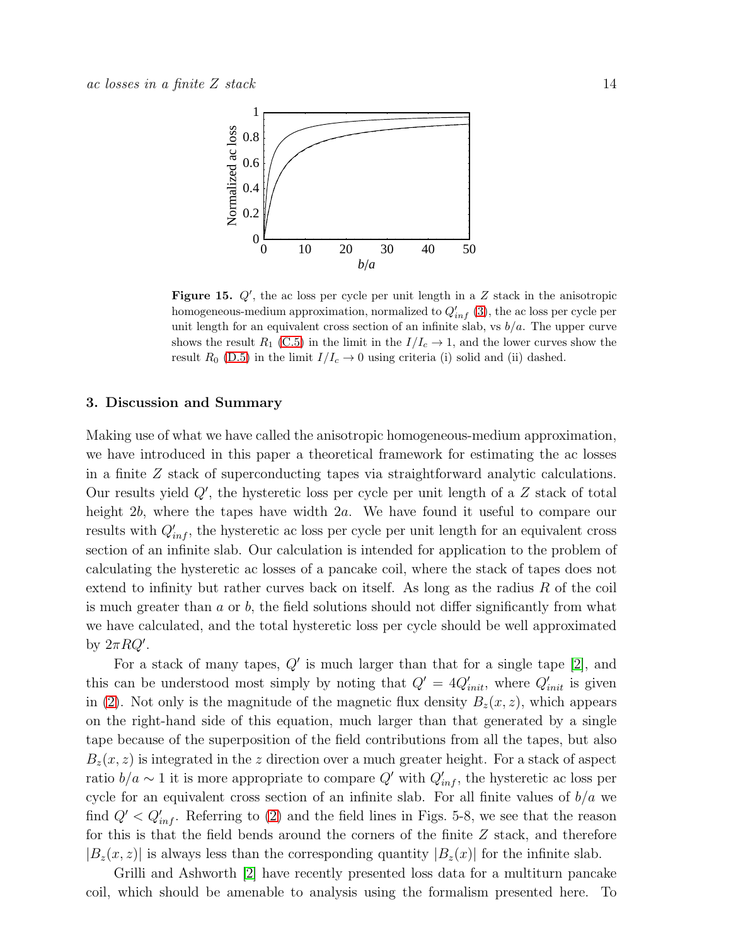

Figure 15.  $Q'$ , the ac loss per cycle per unit length in a  $Z$  stack in the anisotropic homogeneous-medium approximation, normalized to  $Q'_{inf}$  [\(3\)](#page-4-1), the ac loss per cycle per unit length for an equivalent cross section of an infinite slab, vs  $b/a$ . The upper curve shows the result  $R_1$  [\(C.5\)](#page-16-2) in the limit in the  $I/I_c \rightarrow 1$ , and the lower curves show the result  $R_0$  [\(D.5\)](#page-17-0) in the limit  $I/I_c \rightarrow 0$  using criteria (i) solid and (ii) dashed.

#### 3. Discussion and Summary

Making use of what we have called the anisotropic homogeneous-medium approximation, we have introduced in this paper a theoretical framework for estimating the ac losses in a finite Z stack of superconducting tapes via straightforward analytic calculations. Our results yield  $Q'$ , the hysteretic loss per cycle per unit length of a  $Z$  stack of total height 2b, where the tapes have width 2a. We have found it useful to compare our results with  $Q'_{inf}$ , the hysteretic ac loss per cycle per unit length for an equivalent cross section of an infinite slab. Our calculation is intended for application to the problem of calculating the hysteretic ac losses of a pancake coil, where the stack of tapes does not extend to infinity but rather curves back on itself. As long as the radius  $R$  of the coil is much greater than  $a$  or  $b$ , the field solutions should not differ significantly from what we have calculated, and the total hysteretic loss per cycle should be well approximated by  $2\pi RQ'$ .

For a stack of many tapes,  $Q'$  is much larger than that for a single tape [\[2\]](#page-20-1), and this can be understood most simply by noting that  $Q' = 4Q'_{init}$ , where  $Q'_{init}$  is given in [\(2\)](#page-4-0). Not only is the magnitude of the magnetic flux density  $B_z(x, z)$ , which appears on the right-hand side of this equation, much larger than that generated by a single tape because of the superposition of the field contributions from all the tapes, but also  $B_z(x, z)$  is integrated in the z direction over a much greater height. For a stack of aspect ratio  $b/a \sim 1$  it is more appropriate to compare  $Q'$  with  $Q'_{inf}$ , the hysteretic ac loss per cycle for an equivalent cross section of an infinite slab. For all finite values of  $b/a$  we find  $Q' < Q'_{inf}$ . Referring to [\(2\)](#page-4-0) and the field lines in Figs. 5-8, we see that the reason for this is that the field bends around the corners of the finite Z stack, and therefore  $|B_z(x, z)|$  is always less than the corresponding quantity  $|B_z(x)|$  for the infinite slab.

Grilli and Ashworth [\[2\]](#page-20-1) have recently presented loss data for a multiturn pancake coil, which should be amenable to analysis using the formalism presented here. To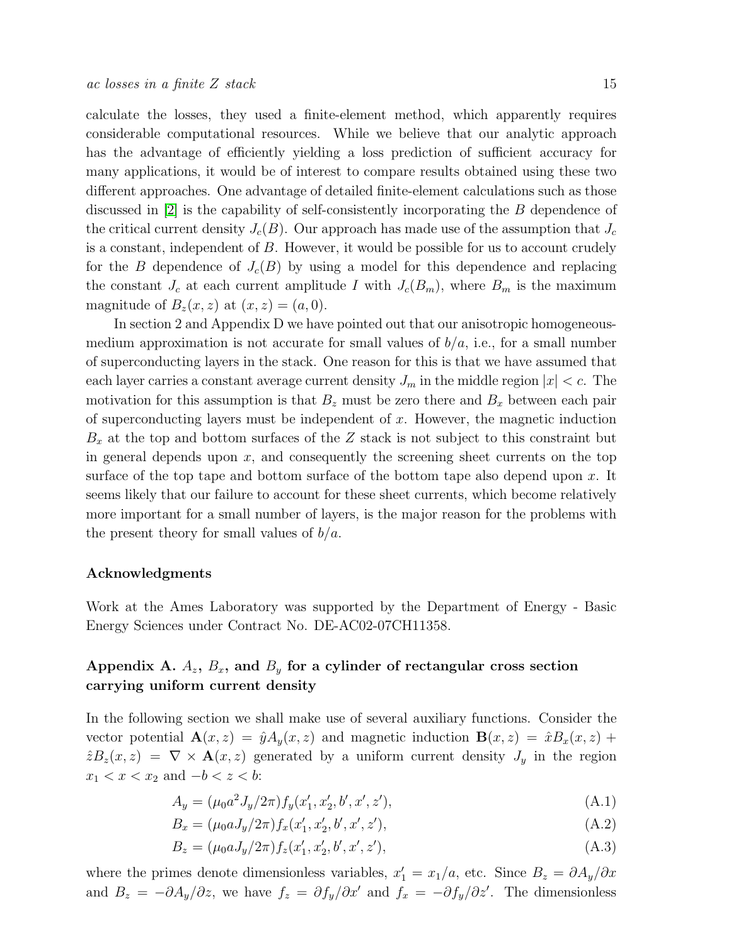calculate the losses, they used a finite-element method, which apparently requires considerable computational resources. While we believe that our analytic approach has the advantage of efficiently yielding a loss prediction of sufficient accuracy for many applications, it would be of interest to compare results obtained using these two different approaches. One advantage of detailed finite-element calculations such as those discussed in [\[2\]](#page-20-1) is the capability of self-consistently incorporating the B dependence of the critical current density  $J_c(B)$ . Our approach has made use of the assumption that  $J_c$ is a constant, independent of B. However, it would be possible for us to account crudely for the B dependence of  $J_c(B)$  by using a model for this dependence and replacing the constant  $J_c$  at each current amplitude I with  $J_c(B_m)$ , where  $B_m$  is the maximum magnitude of  $B_z(x, z)$  at  $(x, z) = (a, 0)$ .

In section 2 and Appendix D we have pointed out that our anisotropic homogeneousmedium approximation is not accurate for small values of  $b/a$ , i.e., for a small number of superconducting layers in the stack. One reason for this is that we have assumed that each layer carries a constant average current density  $J_m$  in the middle region  $|x| < c$ . The motivation for this assumption is that  $B_z$  must be zero there and  $B_x$  between each pair of superconducting layers must be independent of  $x$ . However, the magnetic induction  $B_x$  at the top and bottom surfaces of the Z stack is not subject to this constraint but in general depends upon  $x$ , and consequently the screening sheet currents on the top surface of the top tape and bottom surface of the bottom tape also depend upon  $x$ . It seems likely that our failure to account for these sheet currents, which become relatively more important for a small number of layers, is the major reason for the problems with the present theory for small values of  $b/a$ .

#### Acknowledgments

Work at the Ames Laboratory was supported by the Department of Energy - Basic Energy Sciences under Contract No. DE-AC02-07CH11358.

# Appendix A.  $A_z$ ,  $B_x$ , and  $B_y$  for a cylinder of rectangular cross section carrying uniform current density

In the following section we shall make use of several auxiliary functions. Consider the vector potential  $\mathbf{A}(x, z) = \hat{y}A_y(x, z)$  and magnetic induction  $\mathbf{B}(x, z) = \hat{x}B_x(x, z) +$  $\hat{z}B_z(x, z) = \nabla \times \mathbf{A}(x, z)$  generated by a uniform current density  $J_y$  in the region  $x_1 < x < x_2$  and  $-b < z < b$ :

$$
A_y = (\mu_0 a^2 J_y / 2\pi) f_y(x_1', x_2', b', x', z'),
$$
\n(A.1)

$$
B_x = (\mu_0 a J_y / 2\pi) f_x(x'_1, x'_2, b', x', z'),
$$
\n(A.2)

$$
B_z = (\mu_0 a J_y / 2\pi) f_z(x'_1, x'_2, b', x', z'),
$$
\n(A.3)

where the primes denote dimensionless variables,  $x'_1 = x_1/a$ , etc. Since  $B_z = \partial A_y/\partial x$ and  $B_z = -\partial A_y/\partial z$ , we have  $f_z = \partial f_y/\partial x'$  and  $f_x = -\partial f_y/\partial z'$ . The dimensionless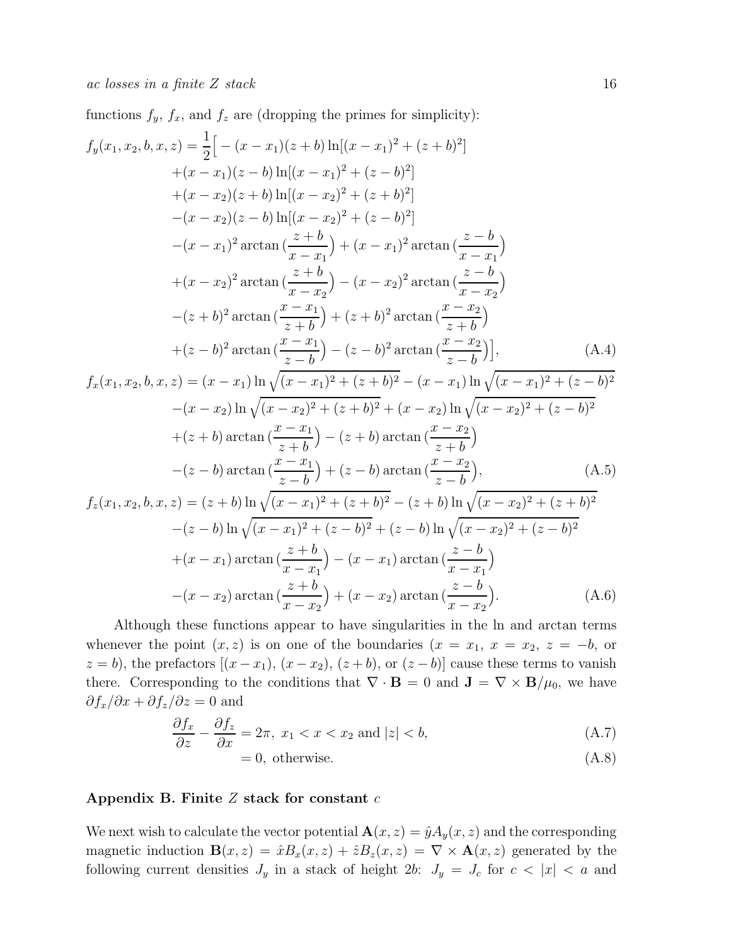functions  $f_y$ ,  $f_x$ , and  $f_z$  are (dropping the primes for simplicity):

$$
f_y(x_1, x_2, b, x, z) = \frac{1}{2} \Big[ -(x - x_1)(z + b) \ln[(x - x_1)^2 + (z + b)^2] + (x - x_1)(z - b) \ln[(x - x_1)^2 + (z - b)^2] + (x - x_2)(z + b) \ln[(x - x_2)^2 + (z + b)^2] - (x - x_2)(z - b) \ln[(x - x_2)^2 + (z - b)^2] - (x - x_1)^2 \arctan(\frac{z + b}{x - x_1}) + (x - x_1)^2 \arctan(\frac{z - b}{x - x_1}) + (x - x_2)^2 \arctan(\frac{z + b}{x - x_2}) - (x - x_2)^2 \arctan(\frac{z - b}{x - x_2}) - (z + b)^2 \arctan(\frac{x - x_1}{z + b}) + (z + b)^2 \arctan(\frac{x - x_2}{z + b}) + (z - b)^2 \arctan(\frac{x - x_1}{z - b}) - (z - b)^2 \arctan(\frac{x - x_2}{z - b}) \Big], \qquad (A.4)
$$
  

$$
f_x(x_1, x_2, b, x, z) = (x - x_1) \ln \sqrt{(x - x_1)^2 + (z + b)^2} - (x - x_1) \ln \sqrt{(x - x_1)^2 + (z - b)^2}
$$

$$
f_x(x_1, x_2, b, x, z) = (x - x_1) \ln \sqrt{(x - x_1)^2 + (z + b)^2} - (x - x_1) \ln \sqrt{(x - x_1)^2 + (z - b)^2}
$$

$$
-(x - x_2) \ln \sqrt{(x - x_2)^2 + (z + b)^2} + (x - x_2) \ln \sqrt{(x - x_2)^2 + (z - b)^2}
$$

$$
+(z + b) \arctan(\frac{x - x_1}{z + b}) - (z + b) \arctan(\frac{x - x_2}{z + b})
$$

$$
-(z - b) \arctan(\frac{x - x_1}{z - b}) + (z - b) \arctan(\frac{x - x_2}{z - b}),
$$
(A.5)

$$
f_z(x_1, x_2, b, x, z) = (z + b) \ln \sqrt{(x - x_1)^2 + (z + b)^2} - (z + b) \ln \sqrt{(x - x_2)^2 + (z + b)^2}
$$

$$
-(z - b) \ln \sqrt{(x - x_1)^2 + (z - b)^2} + (z - b) \ln \sqrt{(x - x_2)^2 + (z - b)^2}
$$

$$
+(x - x_1) \arctan\left(\frac{z + b}{x - x_1}\right) - (x - x_1) \arctan\left(\frac{z - b}{x - x_1}\right)
$$

$$
-(x - x_2) \arctan\left(\frac{z + b}{x - x_2}\right) + (x - x_2) \arctan\left(\frac{z - b}{x - x_2}\right). \tag{A.6}
$$

Although these functions appear to have singularities in the ln and arctan terms whenever the point  $(x, z)$  is on one of the boundaries  $(x = x_1, x = x_2, z = -b,$  or  $z = b$ , the prefactors  $[(x - x_1), (x - x_2), (z + b),$  or  $(z - b)]$  cause these terms to vanish there. Corresponding to the conditions that  $\nabla \cdot \mathbf{B} = 0$  and  $\mathbf{J} = \nabla \times \mathbf{B}/\mu_0$ , we have  $\partial f_x/\partial x + \partial f_z/\partial z = 0$  and

$$
\frac{\partial f_x}{\partial z} - \frac{\partial f_z}{\partial x} = 2\pi, \ x_1 < x < x_2 \text{ and } |z| < b,\tag{A.7}
$$

$$
= 0, \text{ otherwise.} \tag{A.8}
$$

# Appendix B. Finite  $Z$  stack for constant  $c$

We next wish to calculate the vector potential  $\mathbf{A}(x, z) = \hat{y} A_y(x, z)$  and the corresponding magnetic induction  $\mathbf{B}(x, z) = \hat{x}B_x(x, z) + \hat{z}B_z(x, z) = \nabla \times \mathbf{A}(x, z)$  generated by the following current densities  $J_y$  in a stack of height 2b:  $J_y = J_c$  for  $c < |x| < a$  and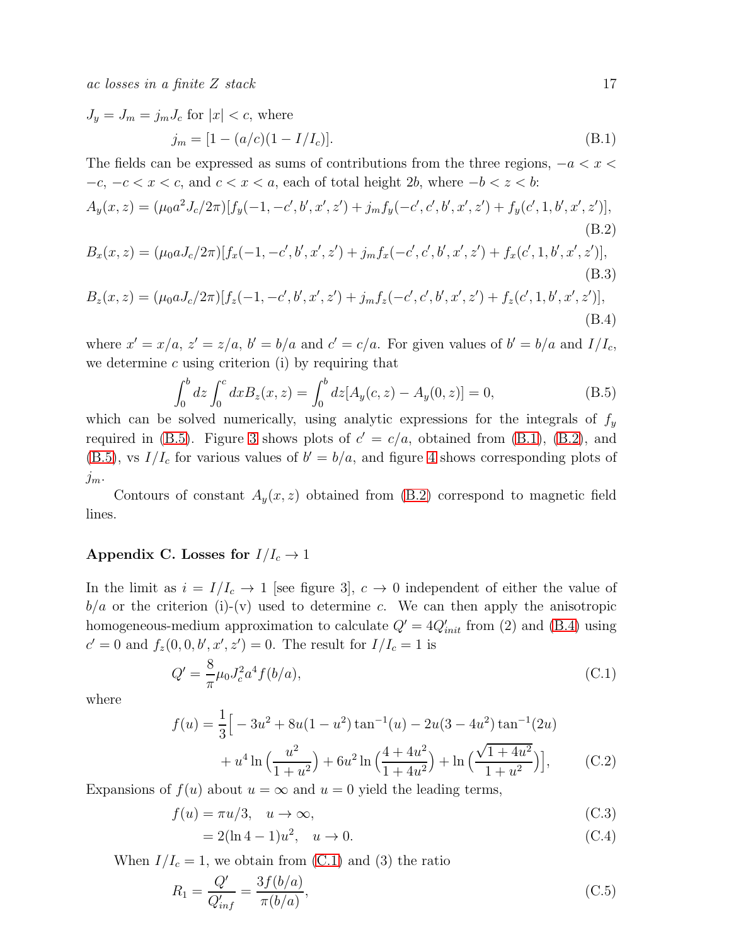ac losses in a finite  $Z$  stack 17

<span id="page-16-1"></span>
$$
J_y = J_m = j_m J_c \text{ for } |x| < c, \text{ where}
$$
\n
$$
j_m = [1 - (a/c)(1 - I/I_c)]. \tag{B.1}
$$

The fields can be expressed as sums of contributions from the three regions,  $-a < x <$  $-c, -c < x < c$ , and  $c < x < a$ , each of total height 2b, where  $-b < z < b$ :

<span id="page-16-3"></span>
$$
A_y(x, z) = (\mu_0 a^2 J_c / 2\pi) [f_y(-1, -c', b', x', z') + j_m f_y(-c', c', b', x', z') + f_y(c', 1, b', x', z')],
$$
\n(B.2)

$$
B_x(x, z) = (\mu_0 a J_c / 2\pi) [f_x(-1, -c', b', x', z') + j_m f_x(-c', c', b', x', z') + f_x(c', 1, b', x', z')],
$$
\n(B.3)

$$
B_z(x, z) = (\mu_0 a J_c / 2\pi) [f_z(-1, -c', b', x', z') + j_m f_z(-c', c', b', x', z') + f_z(c', 1, b', x', z')],
$$
\n(B.4)

where  $x' = x/a$ ,  $z' = z/a$ ,  $b' = b/a$  and  $c' = c/a$ . For given values of  $b' = b/a$  and  $I/I_c$ , we determine  $c$  using criterion (i) by requiring that

<span id="page-16-0"></span>
$$
\int_0^b dz \int_0^c dx B_z(x, z) = \int_0^b dz [A_y(c, z) - A_y(0, z)] = 0,
$$
\n(B.5)

which can be solved numerically, using analytic expressions for the integrals of  $f_y$ required in [\(B.5\)](#page-16-0). Figure [3](#page-5-0) shows plots of  $c' = c/a$ , obtained from [\(B.1\)](#page-16-1), [\(B.2\)](#page-16-3), and [\(B.5\)](#page-16-0), vs  $I/I_c$  for various values of  $b' = b/a$ , and figure [4](#page-5-1) shows corresponding plots of  $j_m$ .

Contours of constant  $A_y(x, z)$  obtained from  $(B.2)$  correspond to magnetic field lines.

# Appendix C. Losses for  $I/I_c \rightarrow 1$

In the limit as  $i = I/I_c \rightarrow 1$  [see figure 3],  $c \rightarrow 0$  independent of either the value of  $b/a$  or the criterion (i)-(v) used to determine c. We can then apply the anisotropic homogeneous-medium approximation to calculate  $Q' = 4Q'_{init}$  from (2) and [\(B.4\)](#page-16-3) using  $c' = 0$  and  $f_z(0, 0, b', x', z') = 0$ . The result for  $I/I_c = 1$  is

<span id="page-16-4"></span>
$$
Q' = \frac{8}{\pi} \mu_0 J_c^2 a^4 f(b/a), \tag{C.1}
$$

where

$$
f(u) = \frac{1}{3} \Big[ -3u^2 + 8u(1 - u^2) \tan^{-1}(u) - 2u(3 - 4u^2) \tan^{-1}(2u) + u^4 \ln\left(\frac{u^2}{1 + u^2}\right) + 6u^2 \ln\left(\frac{4 + 4u^2}{1 + 4u^2}\right) + \ln\left(\frac{\sqrt{1 + 4u^2}}{1 + u^2}\right) \Big],
$$
 (C.2)

Expansions of  $f(u)$  about  $u = \infty$  and  $u = 0$  yield the leading terms,

<span id="page-16-5"></span>
$$
f(u) = \pi u/3, \quad u \to \infty,
$$
\n(C.3)

$$
= 2(\ln 4 - 1)u^2, \quad u \to 0. \tag{C.4}
$$

When  $I/I_c = 1$ , we obtain from [\(C.1\)](#page-16-4) and (3) the ratio

<span id="page-16-2"></span>
$$
R_1 = \frac{Q'}{Q'_{inf}} = \frac{3f(b/a)}{\pi(b/a)},
$$
\n(C.5)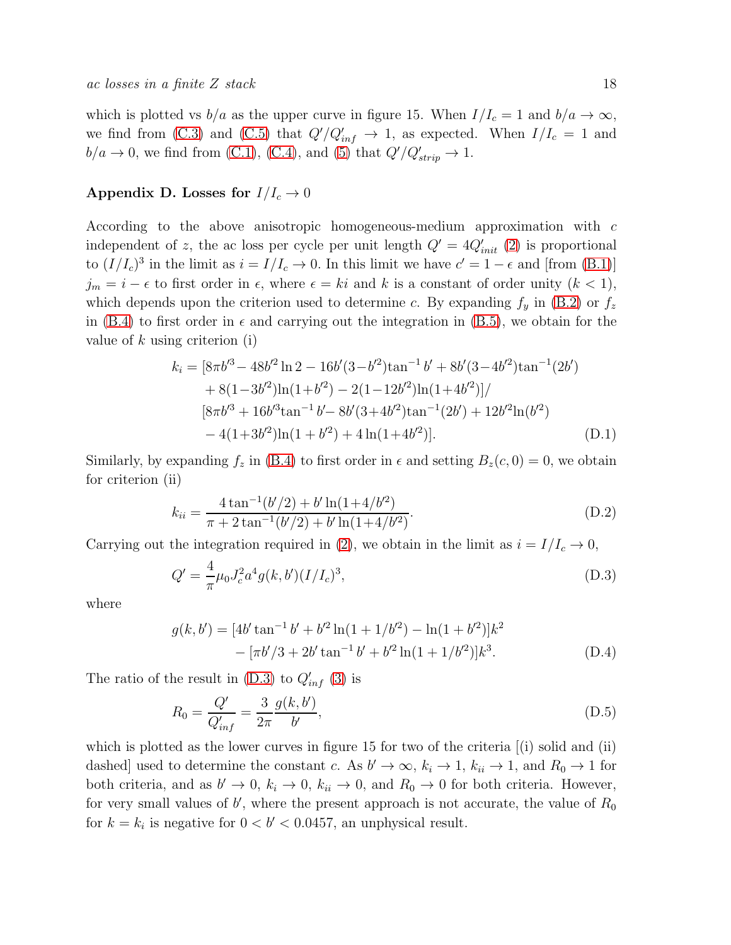which is plotted vs  $b/a$  as the upper curve in figure 15. When  $I/I_c = 1$  and  $b/a \rightarrow \infty$ , we find from [\(C.3\)](#page-16-5) and [\(C.5\)](#page-16-2) that  $Q'/Q'_{inf} \to 1$ , as expected. When  $I/I_c = 1$  and  $b/a \rightarrow 0$ , we find from [\(C.1\)](#page-16-4), [\(C.4\)](#page-16-5), and [\(5\)](#page-12-1) that  $Q'/Q'_{strip} \rightarrow 1$ .

# Appendix D. Losses for  $I/I_c \rightarrow 0$

According to the above anisotropic homogeneous-medium approximation with c independent of z, the ac loss per cycle per unit length  $Q' = 4Q'_{init}$  [\(2\)](#page-4-0) is proportional to  $(I/I_c)^3$  in the limit as  $i = I/I_c \to 0$ . In this limit we have  $c' = 1 - \epsilon$  and [from [\(B.1\)](#page-16-1)]  $j_m = i - \epsilon$  to first order in  $\epsilon$ , where  $\epsilon = ki$  and k is a constant of order unity  $(k < 1)$ , which depends upon the criterion used to determine c. By expanding  $f_y$  in [\(B.2\)](#page-16-3) or  $f_z$ in [\(B.4\)](#page-16-3) to first order in  $\epsilon$  and carrying out the integration in [\(B.5\)](#page-16-0), we obtain for the value of  $k$  using criterion (i)

<span id="page-17-2"></span>
$$
k_i = [8\pi b'^3 - 48b'^2 \ln 2 - 16b'(3 - b'^2) \tan^{-1} b' + 8b'(3 - 4b'^2) \tan^{-1}(2b') + 8(1 - 3b'^2) \ln(1 + b'^2) - 2(1 - 12b'^2) \ln(1 + 4b'^2)]/ [8\pi b'^3 + 16b'^3 \tan^{-1} b' - 8b'(3 + 4b'^2) \tan^{-1}(2b') + 12b'^2 \ln(b'^2) - 4(1 + 3b'^2) \ln(1 + b'^2) + 4 \ln(1 + 4b'^2)]. \tag{D.1}
$$

Similarly, by expanding  $f_z$  in [\(B.4\)](#page-16-3) to first order in  $\epsilon$  and setting  $B_z(c, 0) = 0$ , we obtain for criterion (ii)

<span id="page-17-3"></span>
$$
k_{ii} = \frac{4 \tan^{-1}(b'/2) + b' \ln(1 + 4/b'^2)}{\pi + 2 \tan^{-1}(b'/2) + b' \ln(1 + 4/b'^2)}.
$$
 (D.2)

Carrying out the integration required in [\(2\)](#page-4-0), we obtain in the limit as  $i = I/I_c \rightarrow 0$ ,

<span id="page-17-1"></span>
$$
Q' = \frac{4}{\pi} \mu_0 J_c^2 a^4 g(k, b') (I/I_c)^3,
$$
\n(D.3)

where

$$
g(k, b') = [4b' \tan^{-1} b' + b'^2 \ln(1 + 1/b'^2) - \ln(1 + b'^2)]k^2
$$
  
 
$$
- [\pi b'/3 + 2b' \tan^{-1} b' + b'^2 \ln(1 + 1/b'^2)]k^3.
$$
 (D.4)

The ratio of the result in  $(D.3)$  to  $Q'_{inf}$  [\(3\)](#page-4-1) is

<span id="page-17-0"></span>
$$
R_0 = \frac{Q'}{Q'_{inf}} = \frac{3}{2\pi} \frac{g(k, b')}{b'},
$$
\n(D.5)

which is plotted as the lower curves in figure 15 for two of the criteria  $[$ (i) solid and (ii) dashed] used to determine the constant c. As  $b' \to \infty$ ,  $k_i \to 1$ ,  $k_{ii} \to 1$ , and  $R_0 \to 1$  for both criteria, and as  $b' \to 0$ ,  $k_i \to 0$ ,  $k_{ii} \to 0$ , and  $R_0 \to 0$  for both criteria. However, for very small values of  $b'$ , where the present approach is not accurate, the value of  $R_0$ for  $k = k_i$  is negative for  $0 < b' < 0.0457$ , an unphysical result.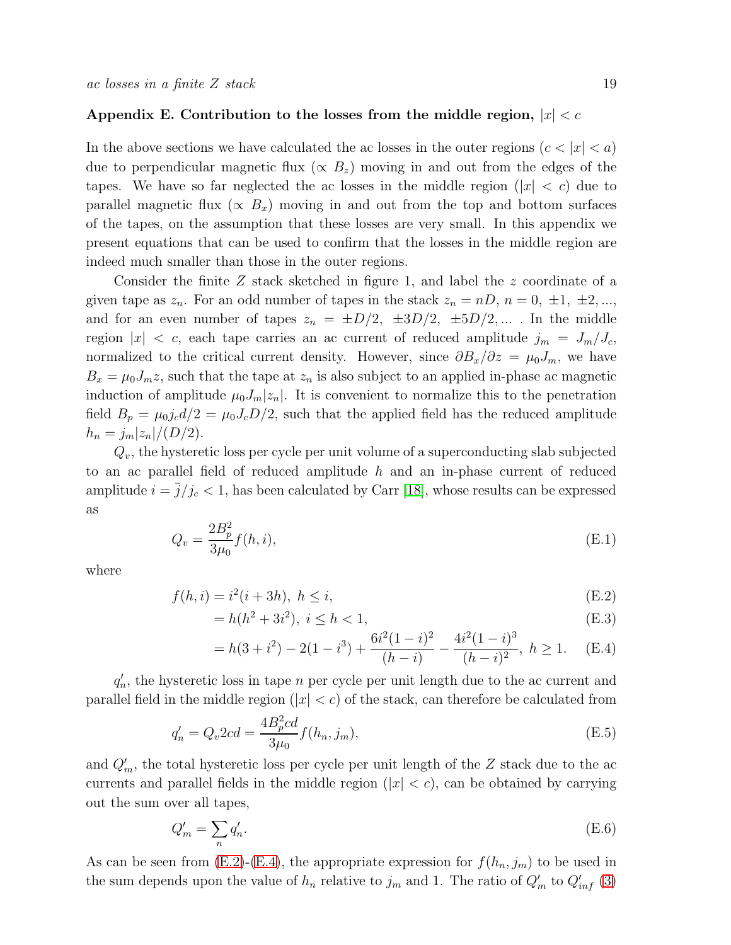## Appendix E. Contribution to the losses from the middle region,  $|x| < c$

In the above sections we have calculated the ac losses in the outer regions  $(c < |x| < a)$ due to perpendicular magnetic flux ( $\propto B_z$ ) moving in and out from the edges of the tapes. We have so far neglected the ac losses in the middle region  $(|x| < c)$  due to parallel magnetic flux ( $\propto B_x$ ) moving in and out from the top and bottom surfaces of the tapes, on the assumption that these losses are very small. In this appendix we present equations that can be used to confirm that the losses in the middle region are indeed much smaller than those in the outer regions.

Consider the finite Z stack sketched in figure 1, and label the z coordinate of a given tape as  $z_n$ . For an odd number of tapes in the stack  $z_n = nD$ ,  $n = 0, \pm 1, \pm 2, \ldots$ , and for an even number of tapes  $z_n = \pm D/2$ ,  $\pm 3D/2$ ,  $\pm 5D/2$ ,.... In the middle region  $|x| < c$ , each tape carries an ac current of reduced amplitude  $j_m = J_m/J_c$ , normalized to the critical current density. However, since  $\partial B_x/\partial z = \mu_0 J_m$ , we have  $B_x = \mu_0 J_m z$ , such that the tape at  $z_n$  is also subject to an applied in-phase ac magnetic induction of amplitude  $\mu_0 J_m |z_n|$ . It is convenient to normalize this to the penetration field  $B_p = \mu_0 j_c d/2 = \mu_0 J_c D/2$ , such that the applied field has the reduced amplitude  $h_n = j_m |z_n|/(D/2).$ 

 $Q_v$ , the hysteretic loss per cycle per unit volume of a superconducting slab subjected to an ac parallel field of reduced amplitude  $h$  and an in-phase current of reduced amplitude  $i = \bar{j}/j_c < 1$ , has been calculated by Carr [\[18\]](#page-20-17), whose results can be expressed as

$$
Q_v = \frac{2B_p^2}{3\mu_0} f(h, i),
$$
 (E.1)

where

<span id="page-18-0"></span>
$$
f(h, i) = i^2(i + 3h), \ h \le i,
$$
\n(E.2)

$$
= h(h^2 + 3i^2), \ i \le h < 1,
$$
\n(E.3)

$$
= h(3 + i2) - 2(1 - i3) + \frac{6i^{2}(1 - i)^{2}}{(h - i)} - \frac{4i^{2}(1 - i)^{3}}{(h - i)^{2}}, \ h \ge 1.
$$
 (E.4)

 $q'_r$  $n'$ , the hysteretic loss in tape n per cycle per unit length due to the ac current and parallel field in the middle region  $(|x| < c)$  of the stack, can therefore be calculated from

$$
q'_n = Q_v 2cd = \frac{4B_p^2 cd}{3\mu_0} f(h_n, j_m),
$$
 (E.5)

and  $Q'_m$ , the total hysteretic loss per cycle per unit length of the Z stack due to the ac currents and parallel fields in the middle region  $(|x| < c)$ , can be obtained by carrying out the sum over all tapes,

$$
Q'_m = \sum_n q'_n. \tag{E.6}
$$

As can be seen from  $(E.2)-(E.4)$  $(E.2)-(E.4)$ , the appropriate expression for  $f(h_n, j_m)$  to be used in the sum depends upon the value of  $h_n$  relative to  $j_m$  and 1. The ratio of  $Q'_m$  to  $Q'_{inf}$  [\(3\)](#page-4-1)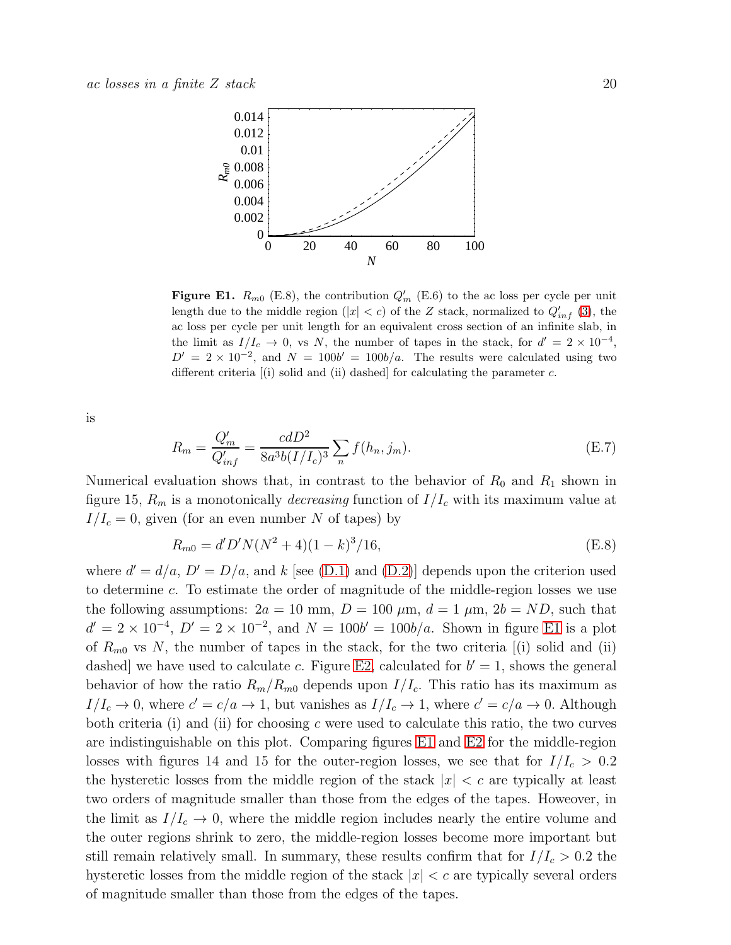

<span id="page-19-0"></span>**Figure E1.**  $R_{m0}$  (E.8), the contribution  $Q'_{m}$  (E.6) to the ac loss per cycle per unit length due to the middle region (|x| < c) of the Z stack, normalized to  $Q'_{inf}$  [\(3\)](#page-4-1), the ac loss per cycle per unit length for an equivalent cross section of an infinite slab, in the limit as  $I/I_c \to 0$ , vs N, the number of tapes in the stack, for  $d' = 2 \times 10^{-4}$ ,  $D' = 2 \times 10^{-2}$ , and  $N = 100b' = 100b/a$ . The results were calculated using two different criteria  $(i)$  solid and  $(ii)$  dashed] for calculating the parameter  $c$ .

is

$$
R_m = \frac{Q'_m}{Q'_{inf}} = \frac{cdD^2}{8a^3b(I/I_c)^3} \sum_n f(h_n, j_m).
$$
 (E.7)

Numerical evaluation shows that, in contrast to the behavior of  $R_0$  and  $R_1$  shown in figure 15,  $R_m$  is a monotonically *decreasing* function of  $I/I_c$  with its maximum value at  $I/I_c = 0$ , given (for an even number N of tapes) by

$$
R_{m0} = d'D'N(N^2 + 4)(1 - k)^3/16,
$$
\n(E.8)

where  $d' = d/a$ ,  $D' = D/a$ , and k [see [\(D.1\)](#page-17-2) and [\(D.2\)](#page-17-3)] depends upon the criterion used to determine c. To estimate the order of magnitude of the middle-region losses we use the following assumptions:  $2a = 10$  mm,  $D = 100 \mu$ m,  $d = 1 \mu$ m,  $2b = ND$ , such that  $d' = 2 \times 10^{-4}$ ,  $D' = 2 \times 10^{-2}$ , and  $N = 100b' = 100b/a$ . Shown in figure [E1](#page-19-0) is a plot of  $R_{m0}$  vs N, the number of tapes in the stack, for the two criteria [(i) solid and (ii) dashed we have used to calculate c. Figure [E2,](#page-20-18) calculated for  $b' = 1$ , shows the general behavior of how the ratio  $R_m/R_{m0}$  depends upon  $I/I_c$ . This ratio has its maximum as  $I/I_c \to 0$ , where  $c' = c/a \to 1$ , but vanishes as  $I/I_c \to 1$ , where  $c' = c/a \to 0$ . Although both criteria (i) and (ii) for choosing  $c$  were used to calculate this ratio, the two curves are indistinguishable on this plot. Comparing figures [E1](#page-19-0) and [E2](#page-20-18) for the middle-region losses with figures 14 and 15 for the outer-region losses, we see that for  $I/I_c > 0.2$ the hysteretic losses from the middle region of the stack  $|x| < c$  are typically at least two orders of magnitude smaller than those from the edges of the tapes. Howeover, in the limit as  $I/I_c \rightarrow 0$ , where the middle region includes nearly the entire volume and the outer regions shrink to zero, the middle-region losses become more important but still remain relatively small. In summary, these results confirm that for  $I/I_c > 0.2$  the hysteretic losses from the middle region of the stack  $|x| < c$  are typically several orders of magnitude smaller than those from the edges of the tapes.